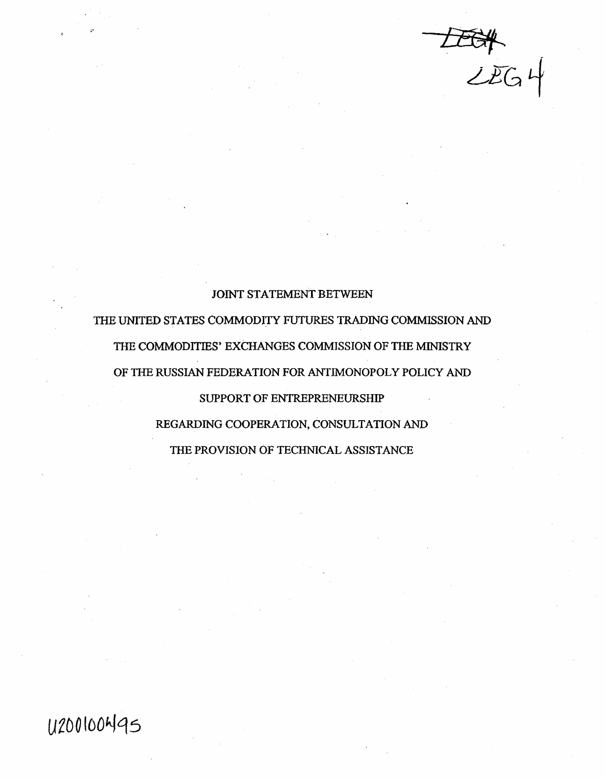$2E$ G4

# JOINT STATEMENT BETWEEN

THE UNITED STATES COMMODITY FUTURES TRADING COMMISSION AND THE COMMODITIES' EXCHANGES COMMISSION OF THE MINISTRY OF TilE RUSSIAN FEDERATION FOR ANTIMONOPOLY POLICY AND SUPPORT OF ENTREPRENEURSHIP REGARDING COOPERATION, CONSULTATION AND

THE PROVISION OF TECHNICAL ASSISTANCE

# *UZDO* loOkfCl5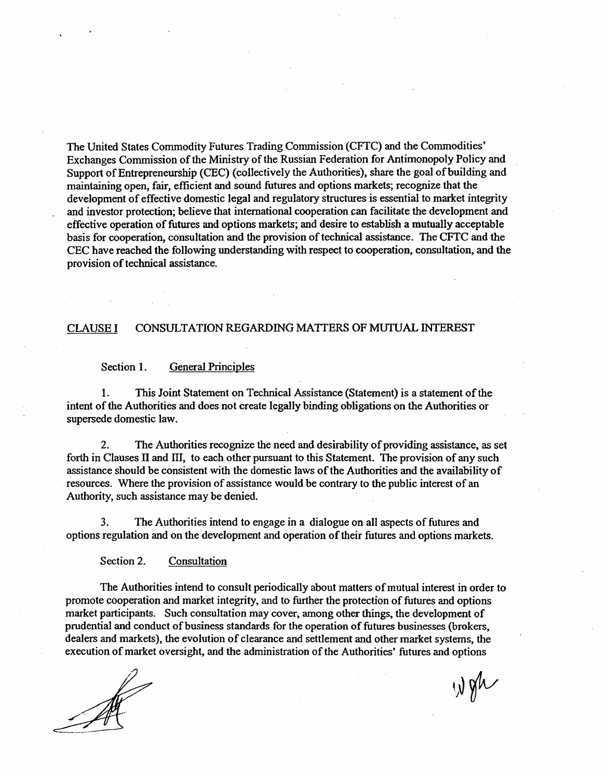The United States Commodity Futures Trading Commission (CFTC) and the Commodities' Exchanges Commission of the Ministry of the Russian Federation for Antimonopoly Policy and Support of Entrepreneurship (CEC) (collectively the Authorities), share the goal of building and maintaining open, fair, efficient and sound futures and options markets; recognize that the development of effective domestic legal and regulatory structures is essential to market integrity and investor protection; believe that international cooperation can facilitate the development and effective operation of futures and options markets; and desire to establish a mutually acceptable basis for cooperation, consultation and the provision of technical assistance. The CFTC and the CEC have reached the following understanding with respect to cooperation, consultation, and the provision of technical assistance.

## CLAUSE I CONSULTATION REGARDING MATIERS OF MU1UAL INTEREST

#### Section 1. General Principles

1. This Joint Statement on Technical Assistance (Statement) is a statement of the intent of the Authorities and does not create legally binding obligations on the Authorities or supersede domestic law.

2. The Authorities recognize the need and desirability of providing assistance, as set forth in Clauses II and III, to each other pursuant to this Statement. The provision of any such assistance should be consistent with the domestic laws of the Authorities and the availability of resources. Where the provision of assistance would be contrary to the public interest of an Authority, such assistance may be denied.

3. The Authorities intend to engage in a dialogue on all aspects of futures and options regulation and on the development and operation of their futures and options markets.

#### Section 2. Consultation

The Authorities intend to consult periodically about matters of mutual interest in order to promote cooperation and market integrity, and to further the protection of futures and options market participants. Such consultation may cover, among other things, the development of prudential and conduct of business standards for the operation of futures businesses (brokers, dealers and markets), the evolution of clearance and settlement and other market systems, the execution of market oversight, and the administration of the Authorities' futures and options

woh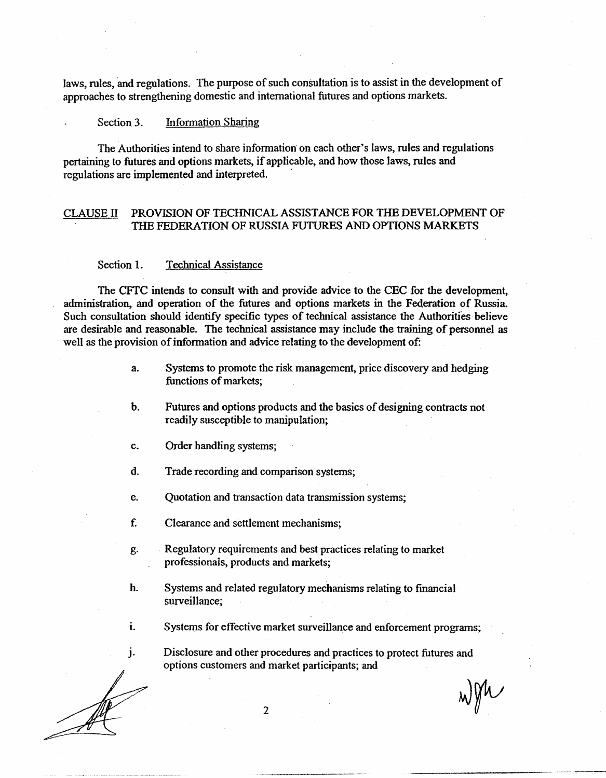laws, rules, and regulations. The purpose of such consultation is to assist in the development of approaches to strengthening domestic and international futures and options markets.

#### Section 3. Information Sharing

The Authorities intend to share information on each other's laws, rules and regulations pertaining to futures and options markets, if applicable, and how those laws, rules and regulations are implemented and interpreted.

## CLAUSE II PROVISION OF TECHNICAL ASSISTANCE FOR THE DEVELOPMENT OF THE FEDERATION OF RUSSIA FUTURES AND OPTIONS MARKETS

## Section 1. Technical Assistance

The CFfC intends to consult with and provide advice to the CEC for the development, administration, and operation of the futures and options markets in the Federation of Russia. Such consultation should identify specific types of technical assistance the Authorities believe are desirable and reasonable. The technical aSsistance may include the training of personnel as well as the provision of information and advice relating to the development of:

- a. Systems to promote the risk management, price discovery and hedging functions of markets;
- b. Futures and options products and the basics of designing contracts not readily susceptible to manipulation;
- c. Order handling systems;
- d. Trade recording and comparison systems;
- e. Quotation and transaction data transmission systems;
- f. Clearance and settlement mechanisms;
- g. · Regulatory requirements and best practices relating to market professionals, products and markets;
- h. Systems and related regulatory mechanisms relating to financial surveillance;
- i. Systems for effective market surveillance and enforcement programs;

J. Disclosure and other procedures and practices to protect futures and options customers and market participants; and

wom

2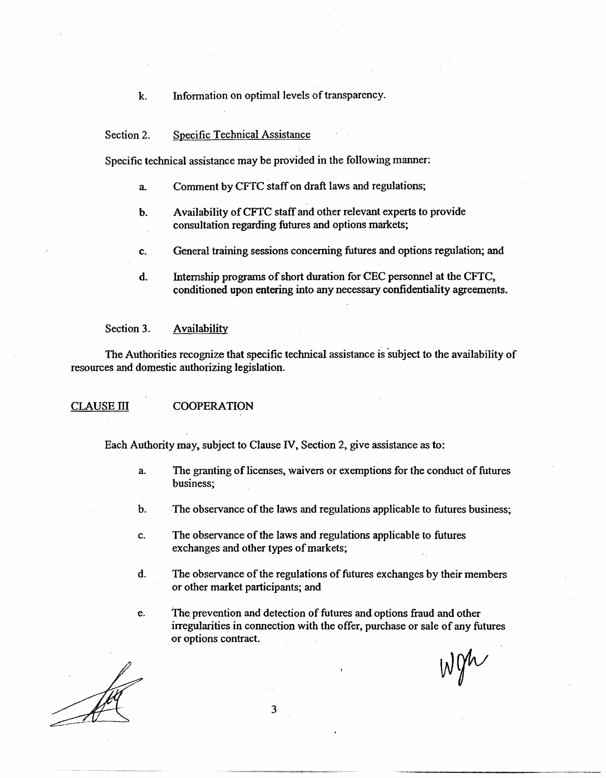k. Information on optimal levels of transparency.

#### Section 2. Specific Technical Assistance

Specific technical assistance may be provided in the following manner:

a Comment by CFTC staff on draft laws and regulations;

- b. Availability of CFTC staff and other relevant experts to provide consultation regarding futures and options markets;
- c. General training sessions concerning futures and options regulation; and
- d. Internship programs of short duration for CEC personnel at the CFTC, conditioned upon entering into any necessary confidentiality agreements.

### Section 3. Availability

The Authorities recognize that specific technical assistance is subject to the availability of resources and domestic authorizing legislation.

### CLAUSE Til COOPERATION

Each Authority may, subject to Clause IV, Section 2, give assistance as to:

- a. The granting of licenses, waivers or exemptions for the conduct of futures business;
- b. The observance of the laws and regulations applicable to futures business;
- c. The observance of the laws and regulations applicable to futures exchanges and other types of markets;
- d. The observance of the regulations of futures exchanges by their members or other market participants; and
- e. The prevention and detection of futures and options fraud and other irregularities in connection with the offer, purchase or sale of any futures or options contract.

Wga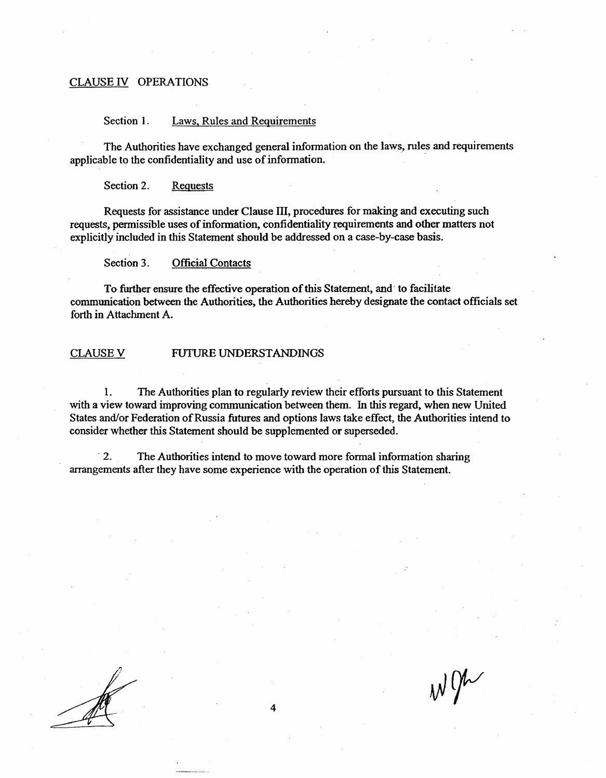## CLAUSE IV OPERATIONS

#### Section 1. Laws, Rules and Requirements

The Authorities have exchanged general information on the laws, rules and requirements applicable to the confidentiality and use of information.

Section 2. Requests

Requests for assistance under Clause III, procedures for making and executing such requests, permissible uses of information, confidentiality requirements and other matters not explicitly included in this Statement should be addressed on a case-by-case basis.

Section 3. Official Contacts

To further ensure the effective operation of this Statement, and· to facilitate communication between the Authorities, the Authorities hereby designate the contact officials set forth in Attachment A.

CLAUSE V FUTURE UNDERSTANDINGS

1. The Authorities plan to regularly review their efforts pursuant to this Statement with a view toward improving communication between them. In this regard, when new United States and/or Federation of Russia futures and options laws take effect, the Authorities intend to consider whether this Statement should be supplemented or superseded.

2. The Authorities intend to move toward more formal information sharing arrangements after they have some experience with the operation of this Statement.

4

WON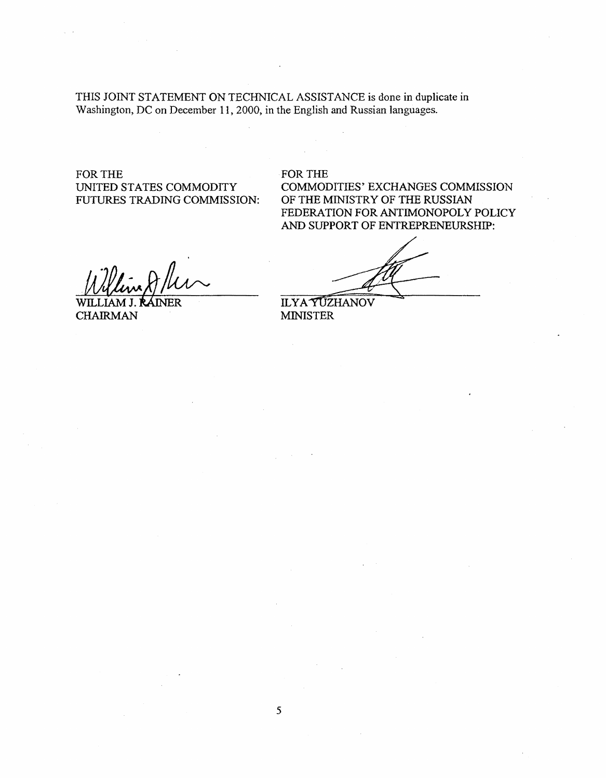THIS JOINT STATEMENT ON TECHNICAL ASSISTANCE is done in duplicate in Washington, DC on December 11, 2000, in the English and Russian languages.

FOR THE UNITED STATES COMMODITY FUTURES TRADING COMMISSION: FOR THE COMMODITIES' EXCHANGES COMMISSION OF THE MINISTRY OF THE RUSSIAN FEDERATION FOR ANTIMONOPOLY POLICY AND SUPPORT OF ENTREPRENEURSHIP:

CHAIRMAN

**ILYA YUZHANOV MINISTER**